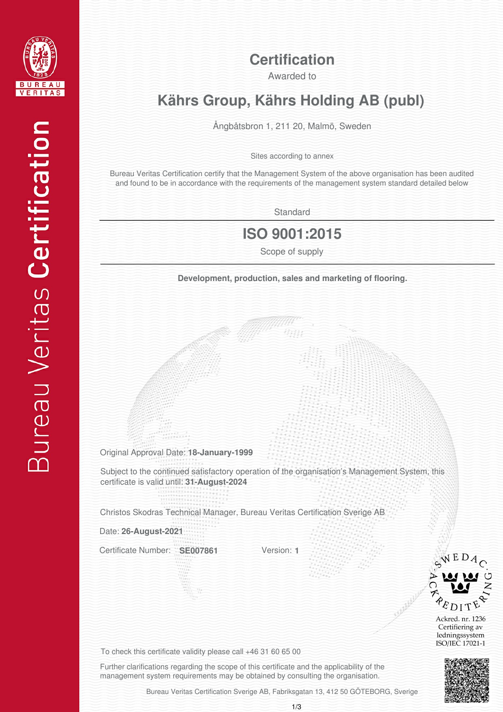

#### **Certification**

Awarded to

## **Kährs Group, Kährs Holding AB (publ)**

Ångbåtsbron 1, 211 20, Malmö, Sweden

Sites according to annex

Bureau Veritas Certification certify that the Management System of the above organisation has been audited and found to be in accordance with the requirements of the management system standard detailed below

**Standard** 

#### **ISO 9001:2015**

**Development, production, sales and marketing of flooring.** 

Original Approval Date: **18-January-1999**

Subject to the continued satisfactory operation of the organisation's Management System, this certificate is valid until: **31-August-2024**

Christos Skodras Technical Manager, Bureau Veritas Certification Sverige AB

Date: **26-August-2021**

Certificate Number: **SE007861**

Version: **1**



Ackred. nr. 1236 Certifiering av ledningssystem ISO/IEC 17021-1



To check this certificate validity please call +46 31 60 65 00

Further clarifications regarding the scope of this certificate and the applicability of the management system requirements may be obtained by consulting the organisation.

Bureau Veritas Certification Sverige AB, Fabriksgatan 13, 412 50 GÖTEBORG, Sverige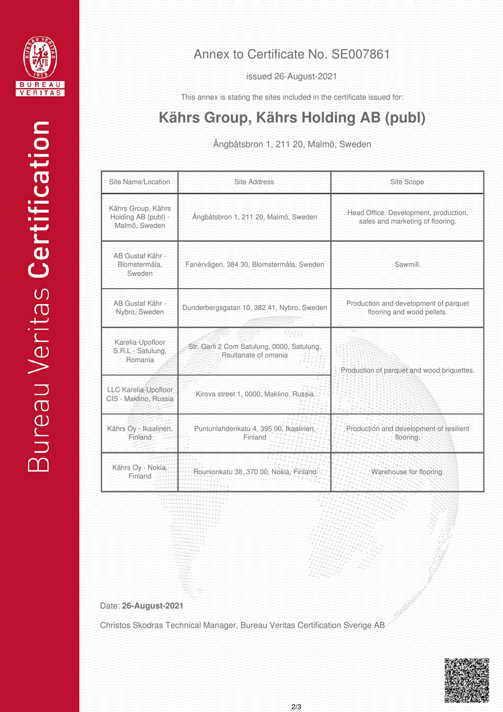

issued 26-August-2021

This annex is stating the sites included in the certificate issued for:

# **Kährs Group, Kährs Holding AB (publ)**

Ångbåtsbron 1, 211 20, Malmö, Sweden

| Site Name/Location                                         | <b>Site Address</b>                                                | Site Scope                                                                |
|------------------------------------------------------------|--------------------------------------------------------------------|---------------------------------------------------------------------------|
| Kährs Group, Kährs<br>Holding AB (publ) -<br>Malmö, Sweden | Ångbåtsbron 1, 211 20, Malmö, Sweden                               | Head Office. Development, production,<br>sales and marketing of flooring. |
| AB Gustaf Kähr -<br>Blomstermåla.<br>Sweden                | Fanérvägen, 384 30, Blomstermåla, Sweden                           | Sawmill.                                                                  |
| AB Gustaf Kähr -<br>Nybro, Sweden                          | Dunderbergsgatan 10, 382 41, Nybro, Sweden                         | Production and development of parquet<br>flooring and wood pellets.       |
| Karelia-Upofloor<br>S.R.L - Satulung,<br>Romania           | Str. Garli 2 Com Satulung, 0000, Satulung,<br>Rsultanate of omania | Production of parquet and wood briquettes.                                |
| LLC Karelia-Upofloor<br>CIS - Maklino, Russia              | Kirova street 1, 0000, Maklino, Russia                             |                                                                           |
| Kährs Oy - Ikaalinen,<br>Finland                           | Puntunlahdenkatu 4, 395 00, Ikaalinen,<br>Finland                  | Production and development of resilient<br>flooring.                      |
| Kährs Oy - Nokia,<br>Finland                               | Rounionkatu 38, 370 00, Nokia, Finland                             | Warehouse for flooring.                                                   |

Date: **26-August-2021**

Christos Skodras Technical Manager, Bureau Veritas Certification Sverige AB



SULLELLULLE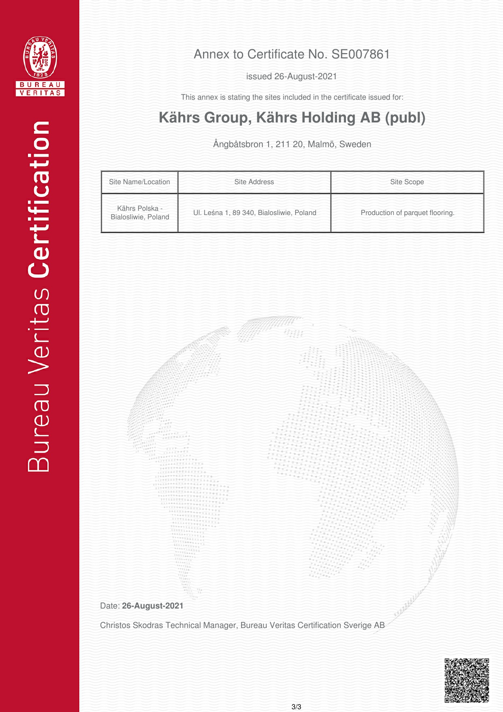

issued 26-August-2021

This annex is stating the sites included in the certificate issued for:

# **Kährs Group, Kährs Holding AB (publ)**

Ångbåtsbron 1, 211 20, Malmö, Sweden

| Site Name/Location                    | Site Address                             | Site Scope                      |
|---------------------------------------|------------------------------------------|---------------------------------|
| Kährs Polska -<br>Bialosliwie, Poland | Ul. Leśna 1, 89 340, Bialosliwie, Poland | Production of parquet flooring. |

Date: **26-August-2021**

Christos Skodras Technical Manager, Bureau Veritas Certification Sverige AB

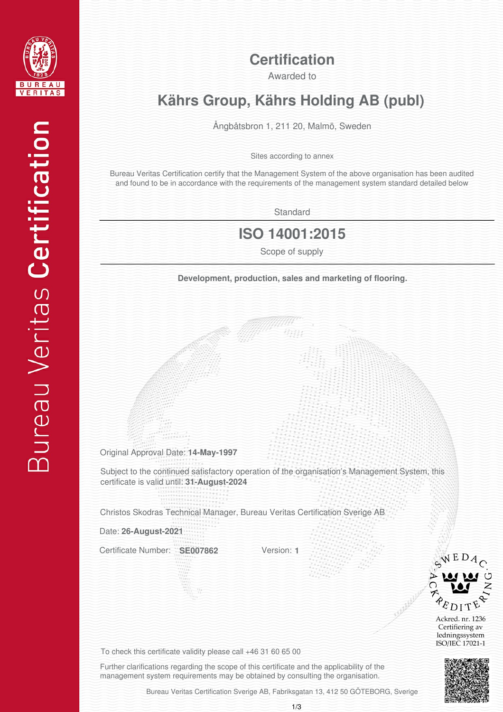

#### **Certification**

Awarded to

## **Kährs Group, Kährs Holding AB (publ)**

Ångbåtsbron 1, 211 20, Malmö, Sweden

Sites according to annex

Bureau Veritas Certification certify that the Management System of the above organisation has been audited and found to be in accordance with the requirements of the management system standard detailed below

**Standard** 

### **ISO 14001:2015**

**Development, production, sales and marketing of flooring.** 

Original Approval Date: **14-May-1997**

Subject to the continued satisfactory operation of the organisation's Management System, this certificate is valid until: **31-August-2024**

Christos Skodras Technical Manager, Bureau Veritas Certification Sverige AB

Date: **26-August-2021**

Certificate Number: **SE007862**

Version: **1**



Ackred. nr. 1236 Certifiering av ledningssystem ISO/IEC 17021-1



To check this certificate validity please call +46 31 60 65 00

Further clarifications regarding the scope of this certificate and the applicability of the management system requirements may be obtained by consulting the organisation.

Bureau Veritas Certification Sverige AB, Fabriksgatan 13, 412 50 GÖTEBORG, Sverige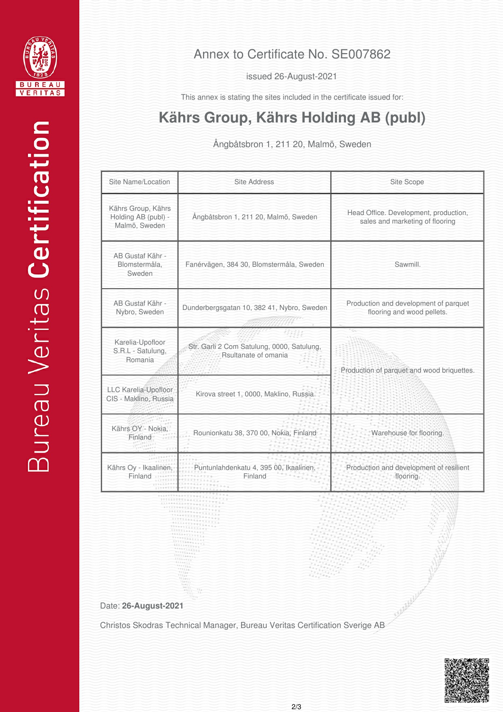

issued 26-August-2021

This annex is stating the sites included in the certificate issued for:

# **Kährs Group, Kährs Holding AB (publ)**

Ångbåtsbron 1, 211 20, Malmö, Sweden

| Site Name/Location                                         | <b>Site Address</b>                                                | Site Scope                                                               |
|------------------------------------------------------------|--------------------------------------------------------------------|--------------------------------------------------------------------------|
| Kährs Group, Kährs<br>Holding AB (publ) -<br>Malmö, Sweden | Ångbåtsbron 1, 211 20, Malmö, Sweden                               | Head Office. Development, production,<br>sales and marketing of flooring |
| AB Gustaf Kähr -<br>Blomstermåla,<br>Sweden                | Fanérvägen, 384 30, Blomstermåla, Sweden                           | Sawmill.                                                                 |
| AB Gustaf Kähr -<br>Nybro, Sweden                          | Dunderbergsgatan 10, 382 41, Nybro, Sweden                         | Production and development of parquet<br>flooring and wood pellets.      |
| Karelia-Upofloor<br>S.R.L - Satulung,<br>Romania           | Str. Garli 2 Com Satulung, 0000, Satulung,<br>Rsultanate of omania | Production of parquet and wood briquettes.                               |
| LLC Karelia-Upofloor<br>CIS - Maklino, Russia              | Kirova street 1, 0000, Maklino, Russia                             |                                                                          |
| Kährs OY - Nokia,<br>Finland                               | Rounionkatu 38, 370 00, Nokia, Finland                             | Warehouse for flooring.                                                  |
| Kährs Oy - Ikaalinen,<br>Finland                           | Puntunlahdenkatu 4, 395 00, Ikaalinen,<br>Finland                  | Production and development of resilient<br>flooring.                     |

Date: **26-August-2021**

Christos Skodras Technical Manager, Bureau Veritas Certification Sverige AB



SULLULLULLU